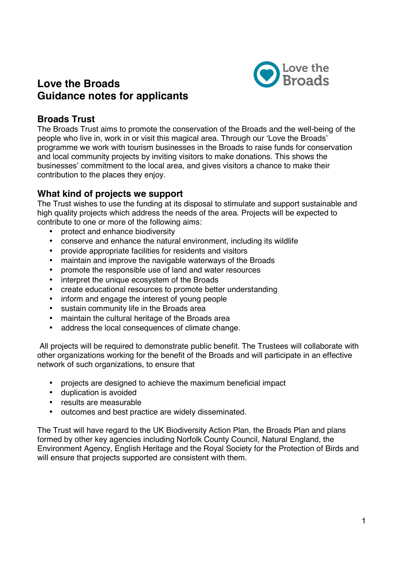

# **Love the Broads Guidance notes for applicants**

### **Broads Trust**

The Broads Trust aims to promote the conservation of the Broads and the well-being of the people who live in, work in or visit this magical area. Through our 'Love the Broads' programme we work with tourism businesses in the Broads to raise funds for conservation and local community projects by inviting visitors to make donations. This shows the businesses' commitment to the local area, and gives visitors a chance to make their contribution to the places they enjoy.

# **What kind of projects we support**

The Trust wishes to use the funding at its disposal to stimulate and support sustainable and high quality projects which address the needs of the area. Projects will be expected to contribute to one or more of the following aims:

- protect and enhance biodiversity
- conserve and enhance the natural environment, including its wildlife
- provide appropriate facilities for residents and visitors
- maintain and improve the navigable waterways of the Broads
- promote the responsible use of land and water resources
- interpret the unique ecosystem of the Broads
- create educational resources to promote better understanding
- inform and engage the interest of young people
- sustain community life in the Broads area
- maintain the cultural heritage of the Broads area
- address the local consequences of climate change.

 All projects will be required to demonstrate public benefit. The Trustees will collaborate with other organizations working for the benefit of the Broads and will participate in an effective network of such organizations, to ensure that

- projects are designed to achieve the maximum beneficial impact
- duplication is avoided
- results are measurable
- outcomes and best practice are widely disseminated.

The Trust will have regard to the UK Biodiversity Action Plan, the Broads Plan and plans formed by other key agencies including Norfolk County Council, Natural England, the Environment Agency, English Heritage and the Royal Society for the Protection of Birds and will ensure that projects supported are consistent with them.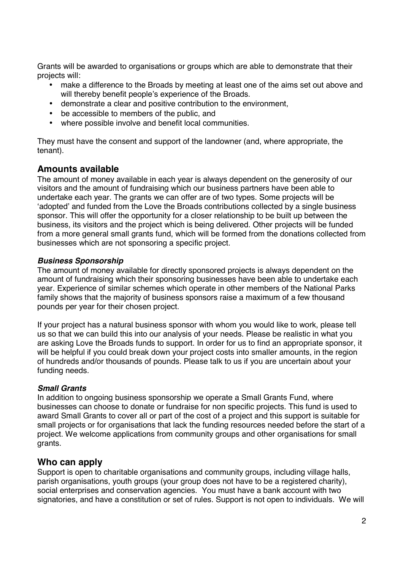Grants will be awarded to organisations or groups which are able to demonstrate that their projects will:

- make a difference to the Broads by meeting at least one of the aims set out above and will thereby benefit people's experience of the Broads.
- demonstrate a clear and positive contribution to the environment,
- be accessible to members of the public, and
- where possible involve and benefit local communities.

They must have the consent and support of the landowner (and, where appropriate, the tenant).

### **Amounts available**

The amount of money available in each year is always dependent on the generosity of our visitors and the amount of fundraising which our business partners have been able to undertake each year. The grants we can offer are of two types. Some projects will be 'adopted' and funded from the Love the Broads contributions collected by a single business sponsor. This will offer the opportunity for a closer relationship to be built up between the business, its visitors and the project which is being delivered. Other projects will be funded from a more general small grants fund, which will be formed from the donations collected from businesses which are not sponsoring a specific project.

#### *Business Sponsorship*

The amount of money available for directly sponsored projects is always dependent on the amount of fundraising which their sponsoring businesses have been able to undertake each year. Experience of similar schemes which operate in other members of the National Parks family shows that the majority of business sponsors raise a maximum of a few thousand pounds per year for their chosen project.

If your project has a natural business sponsor with whom you would like to work, please tell us so that we can build this into our analysis of your needs. Please be realistic in what you are asking Love the Broads funds to support. In order for us to find an appropriate sponsor, it will be helpful if you could break down your project costs into smaller amounts, in the region of hundreds and/or thousands of pounds. Please talk to us if you are uncertain about your funding needs.

#### *Small Grants*

In addition to ongoing business sponsorship we operate a Small Grants Fund, where businesses can choose to donate or fundraise for non specific projects. This fund is used to award Small Grants to cover all or part of the cost of a project and this support is suitable for small projects or for organisations that lack the funding resources needed before the start of a project. We welcome applications from community groups and other organisations for small grants.

#### **Who can apply**

Support is open to charitable organisations and community groups, including village halls, parish organisations, youth groups (your group does not have to be a registered charity), social enterprises and conservation agencies. You must have a bank account with two signatories, and have a constitution or set of rules. Support is not open to individuals. We will